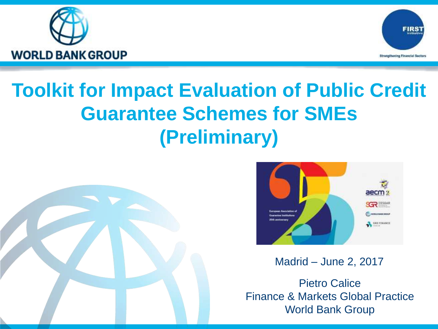



# **Toolkit for Impact Evaluation of Public Credit Guarantee Schemes for SMEs (Preliminary)**





Madrid – June 2, 2017

Pietro Calice Finance & Markets Global Practice World Bank Group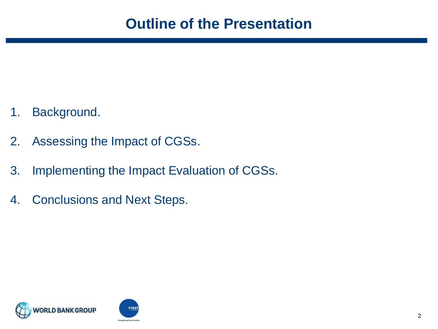- 1. Background.
- 2. Assessing the Impact of CGSs.
- 3. Implementing the Impact Evaluation of CGSs.
- 4. Conclusions and Next Steps.

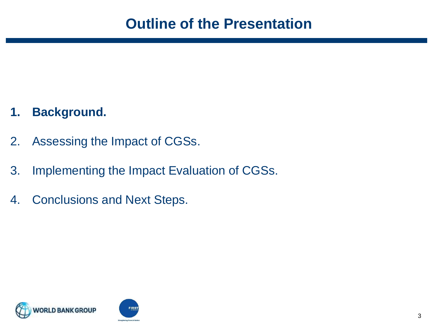#### **1. Background.**

- 2. Assessing the Impact of CGSs.
- 3. Implementing the Impact Evaluation of CGSs.
- 4. Conclusions and Next Steps.

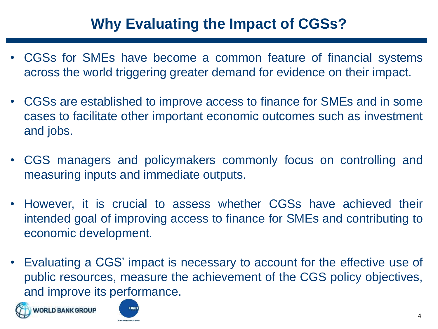## **Why Evaluating the Impact of CGSs?**

- CGSs for SMEs have become a common feature of financial systems across the world triggering greater demand for evidence on their impact.
- CGSs are established to improve access to finance for SMEs and in some cases to facilitate other important economic outcomes such as investment and jobs.
- CGS managers and policymakers commonly focus on controlling and measuring inputs and immediate outputs.
- However, it is crucial to assess whether CGSs have achieved their intended goal of improving access to finance for SMEs and contributing to economic development.
- Evaluating a CGS' impact is necessary to account for the effective use of public resources, measure the achievement of the CGS policy objectives, and improve its performance.



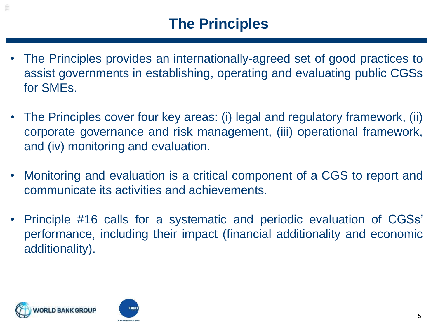- The Principles provides an internationally-agreed set of good practices to assist governments in establishing, operating and evaluating public CGSs for SMEs.
- The Principles cover four key areas: (i) legal and regulatory framework, (ii) corporate governance and risk management, (iii) operational framework, and (iv) monitoring and evaluation.
- Monitoring and evaluation is a critical component of a CGS to report and communicate its activities and achievements.
- Principle #16 calls for a systematic and periodic evaluation of CGSs' performance, including their impact (financial additionality and economic additionality).



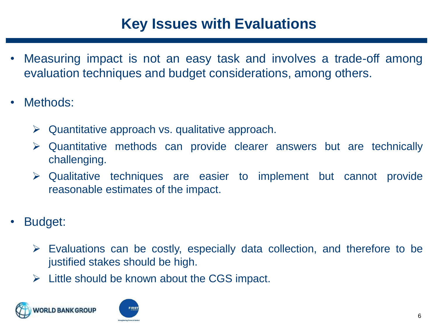#### **Key Issues with Evaluations**

- Measuring impact is not an easy task and involves a trade-off among evaluation techniques and budget considerations, among others.
- Methods:
	- $\triangleright$  Quantitative approach vs. qualitative approach.
	- ➢ Quantitative methods can provide clearer answers but are technically challenging.
	- ➢ Qualitative techniques are easier to implement but cannot provide reasonable estimates of the impact.
- Budget:
	- $\triangleright$  Evaluations can be costly, especially data collection, and therefore to be justified stakes should be high.
	- $\triangleright$  Little should be known about the CGS impact.



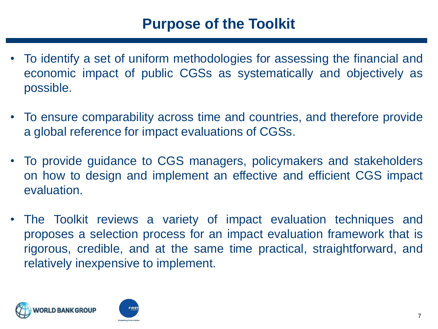#### **Purpose of the Toolkit**

- To identify a set of uniform methodologies for assessing the financial and economic impact of public CGSs as systematically and objectively as possible.
- To ensure comparability across time and countries, and therefore provide a global reference for impact evaluations of CGSs.
- To provide guidance to CGS managers, policymakers and stakeholders on how to design and implement an effective and efficient CGS impact evaluation.
- The Toolkit reviews a variety of impact evaluation techniques and proposes a selection process for an impact evaluation framework that is rigorous, credible, and at the same time practical, straightforward, and relatively inexpensive to implement.

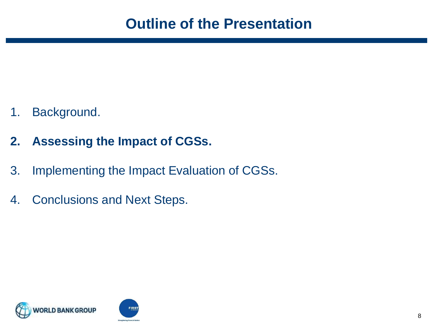- 1. Background.
- **2. Assessing the Impact of CGSs.**
- 3. Implementing the Impact Evaluation of CGSs.
- 4. Conclusions and Next Steps.

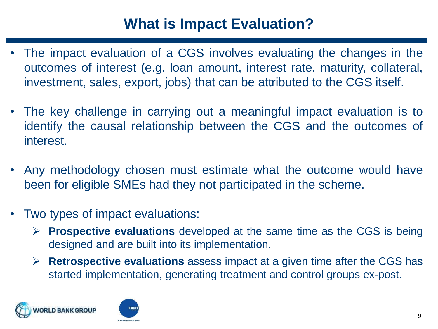### **What is Impact Evaluation?**

- The impact evaluation of a CGS involves evaluating the changes in the outcomes of interest (e.g. loan amount, interest rate, maturity, collateral, investment, sales, export, jobs) that can be attributed to the CGS itself.
- The key challenge in carrying out a meaningful impact evaluation is to identify the causal relationship between the CGS and the outcomes of interest.
- Any methodology chosen must estimate what the outcome would have been for eligible SMEs had they not participated in the scheme.
- Two types of impact evaluations:
	- ➢ **Prospective evaluations** developed at the same time as the CGS is being designed and are built into its implementation.
	- ➢ **Retrospective evaluations** assess impact at a given time after the CGS has started implementation, generating treatment and control groups ex-post.



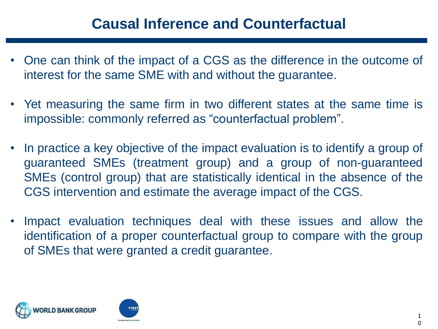#### **Causal Inference and Counterfactual**

- One can think of the impact of a CGS as the difference in the outcome of interest for the same SME with and without the guarantee.
- Yet measuring the same firm in two different states at the same time is impossible: commonly referred as "counterfactual problem".
- In practice a key objective of the impact evaluation is to identify a group of guaranteed SMEs (treatment group) and a group of non-guaranteed SMEs (control group) that are statistically identical in the absence of the CGS intervention and estimate the average impact of the CGS.
- Impact evaluation techniques deal with these issues and allow the identification of a proper counterfactual group to compare with the group of SMEs that were granted a credit guarantee.

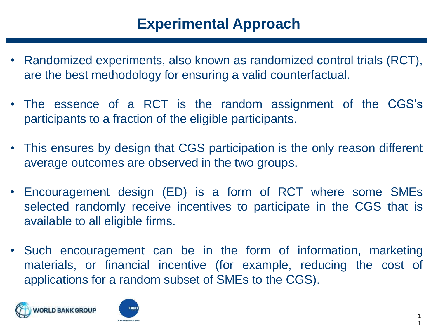#### **Experimental Approach**

- Randomized experiments, also known as randomized control trials (RCT), are the best methodology for ensuring a valid counterfactual.
- The essence of a RCT is the random assignment of the CGS's participants to a fraction of the eligible participants.
- This ensures by design that CGS participation is the only reason different average outcomes are observed in the two groups.
- Encouragement design (ED) is a form of RCT where some SMEs selected randomly receive incentives to participate in the CGS that is available to all eligible firms.
- Such encouragement can be in the form of information, marketing materials, or financial incentive (for example, reducing the cost of applications for a random subset of SMEs to the CGS).



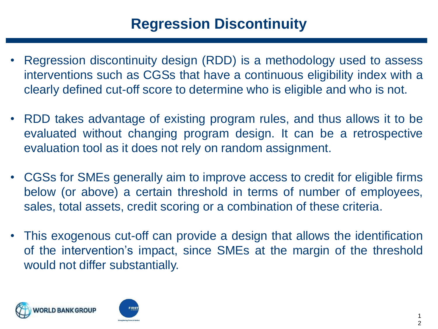- Regression discontinuity design (RDD) is a methodology used to assess interventions such as CGSs that have a continuous eligibility index with a clearly defined cut-off score to determine who is eligible and who is not.
- RDD takes advantage of existing program rules, and thus allows it to be evaluated without changing program design. It can be a retrospective evaluation tool as it does not rely on random assignment.
- CGSs for SMEs generally aim to improve access to credit for eligible firms below (or above) a certain threshold in terms of number of employees, sales, total assets, credit scoring or a combination of these criteria.
- This exogenous cut-off can provide a design that allows the identification of the intervention's impact, since SMEs at the margin of the threshold would not differ substantially.



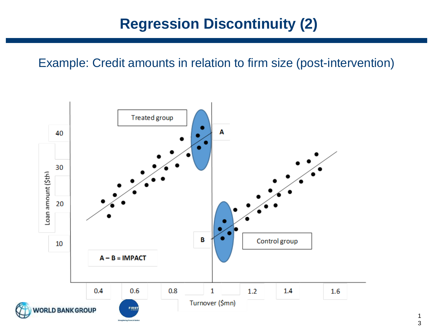### **Regression Discontinuity (2)**

Example: Credit amounts in relation to firm size (post-intervention)



1 3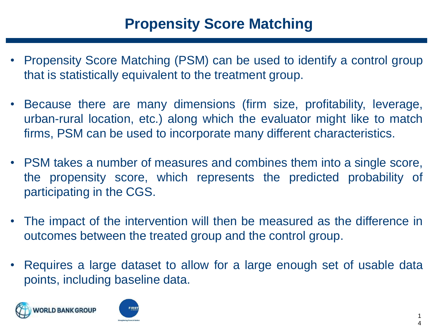- Propensity Score Matching (PSM) can be used to identify a control group that is statistically equivalent to the treatment group.
- Because there are many dimensions (firm size, profitability, leverage, urban-rural location, etc.) along which the evaluator might like to match firms, PSM can be used to incorporate many different characteristics.
- PSM takes a number of measures and combines them into a single score, the propensity score, which represents the predicted probability of participating in the CGS.
- The impact of the intervention will then be measured as the difference in outcomes between the treated group and the control group.
- Requires a large dataset to allow for a large enough set of usable data points, including baseline data.



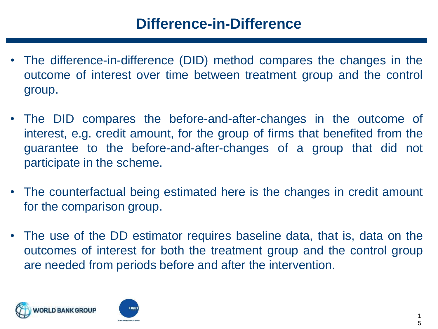- The difference-in-difference (DID) method compares the changes in the outcome of interest over time between treatment group and the control group.
- The DID compares the before-and-after-changes in the outcome of interest, e.g. credit amount, for the group of firms that benefited from the guarantee to the before-and-after-changes of a group that did not participate in the scheme.
- The counterfactual being estimated here is the changes in credit amount for the comparison group.
- The use of the DD estimator requires baseline data, that is, data on the outcomes of interest for both the treatment group and the control group are needed from periods before and after the intervention.



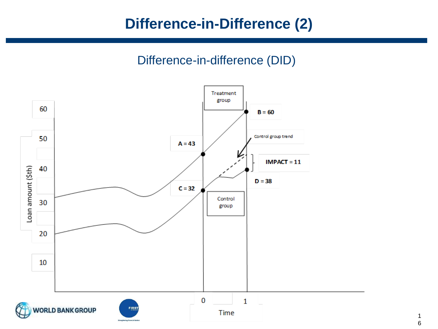#### **Difference-in-Difference (2)**

#### Difference-in-difference (DID)



1 6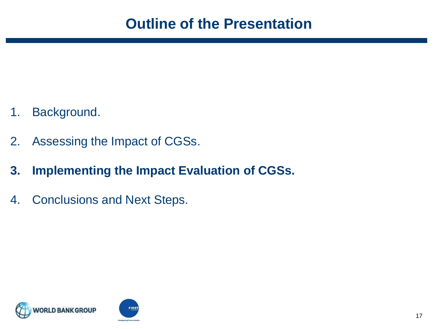- 1. Background.
- 2. Assessing the Impact of CGSs.
- **3. Implementing the Impact Evaluation of CGSs.**
- 4. Conclusions and Next Steps.

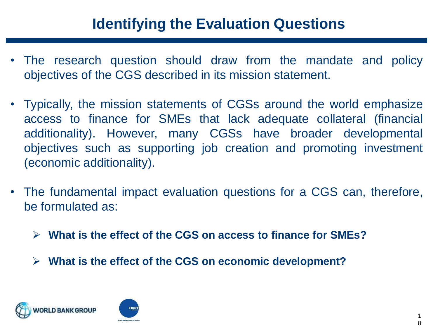### **Identifying the Evaluation Questions**

- The research question should draw from the mandate and policy objectives of the CGS described in its mission statement.
- Typically, the mission statements of CGSs around the world emphasize access to finance for SMEs that lack adequate collateral (financial additionality). However, many CGSs have broader developmental objectives such as supporting job creation and promoting investment (economic additionality).
- The fundamental impact evaluation questions for a CGS can, therefore, be formulated as:
	- ➢ **What is the effect of the CGS on access to finance for SMEs?**
	- ➢ **What is the effect of the CGS on economic development?**



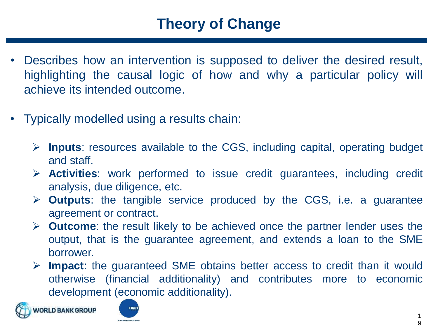- Describes how an intervention is supposed to deliver the desired result, highlighting the causal logic of how and why a particular policy will achieve its intended outcome.
- Typically modelled using a results chain:
	- ➢ **Inputs**: resources available to the CGS, including capital, operating budget and staff.
	- ➢ **Activities**: work performed to issue credit guarantees, including credit analysis, due diligence, etc.
	- ➢ **Outputs**: the tangible service produced by the CGS, i.e. a guarantee agreement or contract.
	- ➢ **Outcome**: the result likely to be achieved once the partner lender uses the output, that is the guarantee agreement, and extends a loan to the SME borrower.
	- ➢ **Impact**: the guaranteed SME obtains better access to credit than it would otherwise (financial additionality) and contributes more to economic development (economic additionality).



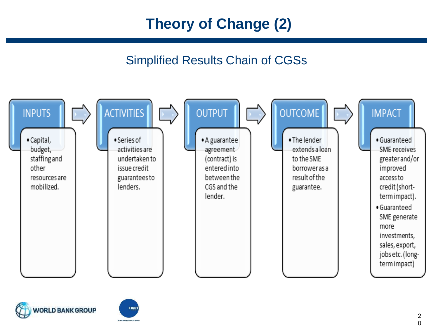# **Theory of Change (2)**

#### Simplified Results Chain of CGSs





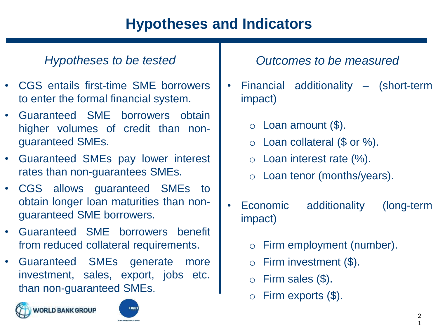## **Hypotheses and Indicators**

- CGS entails first-time SME borrowers to enter the formal financial system.
- Guaranteed SME borrowers obtain higher volumes of credit than nonguaranteed SMEs.
- Guaranteed SMEs pay lower interest rates than non-guarantees SMEs.
- CGS allows guaranteed SMEs to obtain longer loan maturities than nonguaranteed SME borrowers.
- Guaranteed SME borrowers benefit from reduced collateral requirements.
- Guaranteed SMEs generate more investment, sales, export, jobs etc. than non-guaranteed SMEs.





#### *Hypotheses to be tested Outcomes to be measured*

- Financial additionality (short-term impact)
	- $\circ$  Loan amount  $(\$)$ .
	- $\circ$  Loan collateral (\$ or %).
	- $\circ$  Loan interest rate  $\%$ ).
	- o Loan tenor (months/years).
- Economic additionality (long-term impact)
	- o Firm employment (number).
	- $\circ$  Firm investment  $(\$)$ .
	- $\circ$  Firm sales (\$).
	- $\circ$  Firm exports (\$).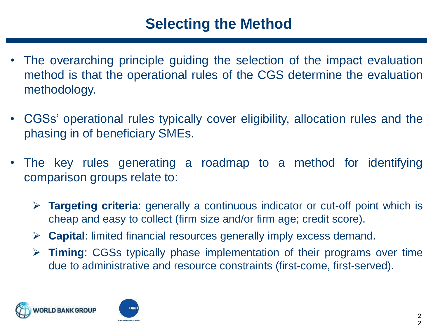- The overarching principle guiding the selection of the impact evaluation method is that the operational rules of the CGS determine the evaluation methodology.
- CGSs' operational rules typically cover eligibility, allocation rules and the phasing in of beneficiary SMEs.
- The key rules generating a roadmap to a method for identifying comparison groups relate to:
	- ➢ **Targeting criteria**: generally a continuous indicator or cut-off point which is cheap and easy to collect (firm size and/or firm age; credit score).
	- ➢ **Capital**: limited financial resources generally imply excess demand.
	- ➢ **Timing**: CGSs typically phase implementation of their programs over time due to administrative and resource constraints (first-come, first-served).



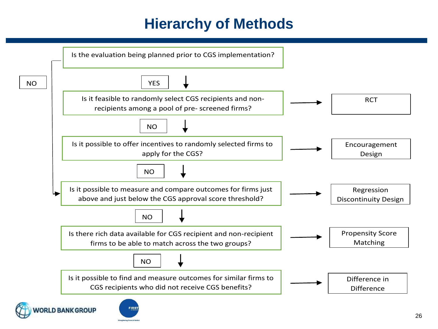# **Hierarchy of Methods**



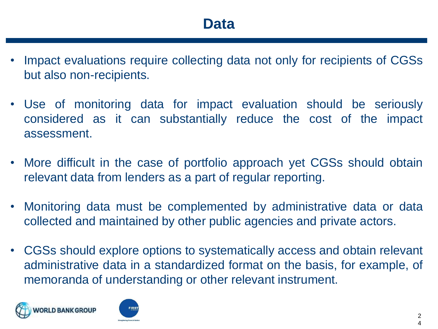- Impact evaluations require collecting data not only for recipients of CGSs but also non-recipients.
- Use of monitoring data for impact evaluation should be seriously considered as it can substantially reduce the cost of the impact assessment.
- More difficult in the case of portfolio approach yet CGSs should obtain relevant data from lenders as a part of regular reporting.
- Monitoring data must be complemented by administrative data or data collected and maintained by other public agencies and private actors.
- CGSs should explore options to systematically access and obtain relevant administrative data in a standardized format on the basis, for example, of memoranda of understanding or other relevant instrument.



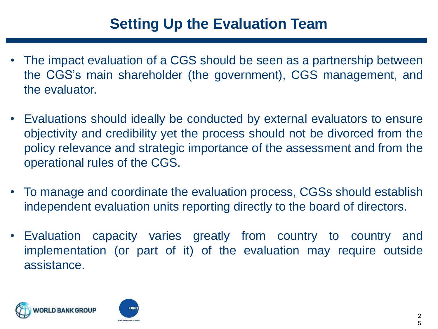- The impact evaluation of a CGS should be seen as a partnership between the CGS's main shareholder (the government), CGS management, and the evaluator.
- Evaluations should ideally be conducted by external evaluators to ensure objectivity and credibility yet the process should not be divorced from the policy relevance and strategic importance of the assessment and from the operational rules of the CGS.
- To manage and coordinate the evaluation process, CGSs should establish independent evaluation units reporting directly to the board of directors.
- Evaluation capacity varies greatly from country to country and implementation (or part of it) of the evaluation may require outside assistance.



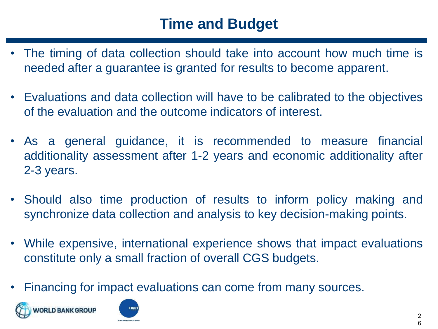## **Time and Budget**

- The timing of data collection should take into account how much time is needed after a guarantee is granted for results to become apparent.
- Evaluations and data collection will have to be calibrated to the objectives of the evaluation and the outcome indicators of interest.
- As a general guidance, it is recommended to measure financial additionality assessment after 1-2 years and economic additionality after 2-3 years.
- Should also time production of results to inform policy making and synchronize data collection and analysis to key decision-making points.
- While expensive, international experience shows that impact evaluations constitute only a small fraction of overall CGS budgets.
- Financing for impact evaluations can come from many sources.



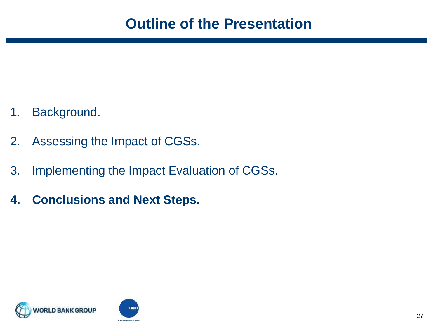- 1. Background.
- 2. Assessing the Impact of CGSs.
- 3. Implementing the Impact Evaluation of CGSs.
- **4. Conclusions and Next Steps.**

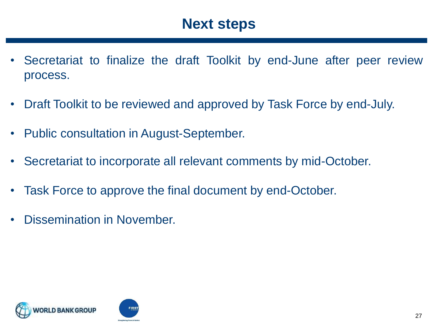#### **Next steps**

- Secretariat to finalize the draft Toolkit by end-June after peer review process.
- Draft Toolkit to be reviewed and approved by Task Force by end-July.
- Public consultation in August-September.
- Secretariat to incorporate all relevant comments by mid-October.
- Task Force to approve the final document by end-October.
- Dissemination in November.